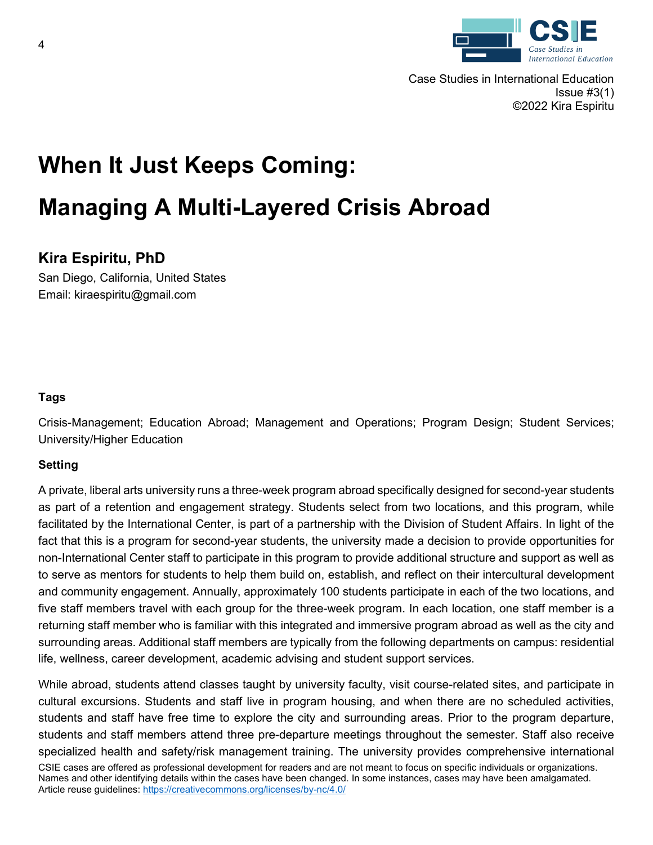

Case Studies in International Education Issue  $#3(1)$ ©2022 Kira Espiritu

# **When It Just Keeps Coming: Managing A Multi-Layered Crisis Abroad**

## **Kira Espiritu, PhD**

San Diego, California, United States Email: kiraespiritu@gmail.com

### **Tags**

Crisis-Management; Education Abroad; Management and Operations; Program Design; Student Services; University/Higher Education

### **Setting**

A private, liberal arts university runs a three-week program abroad specifically designed for second-year students as part of a retention and engagement strategy. Students select from two locations, and this program, while facilitated by the International Center, is part of a partnership with the Division of Student Affairs. In light of the fact that this is a program for second-year students, the university made a decision to provide opportunities for non-International Center staff to participate in this program to provide additional structure and support as well as to serve as mentors for students to help them build on, establish, and reflect on their intercultural development and community engagement. Annually, approximately 100 students participate in each of the two locations, and five staff members travel with each group for the three-week program. In each location, one staff member is a returning staff member who is familiar with this integrated and immersive program abroad as well as the city and surrounding areas. Additional staff members are typically from the following departments on campus: residential life, wellness, career development, academic advising and student support services.

CSIE cases are offered as professional development for readers and are not meant to focus on specific individuals or organizations. Names and other identifying details within the cases have been changed. In some instances, cases may have been amalgamated. Article reuse guidelines:<https://creativecommons.org/licenses/by-nc/4.0/> While abroad, students attend classes taught by university faculty, visit course-related sites, and participate in cultural excursions. Students and staff live in program housing, and when there are no scheduled activities, students and staff have free time to explore the city and surrounding areas. Prior to the program departure, students and staff members attend three pre-departure meetings throughout the semester. Staff also receive specialized health and safety/risk management training. The university provides comprehensive international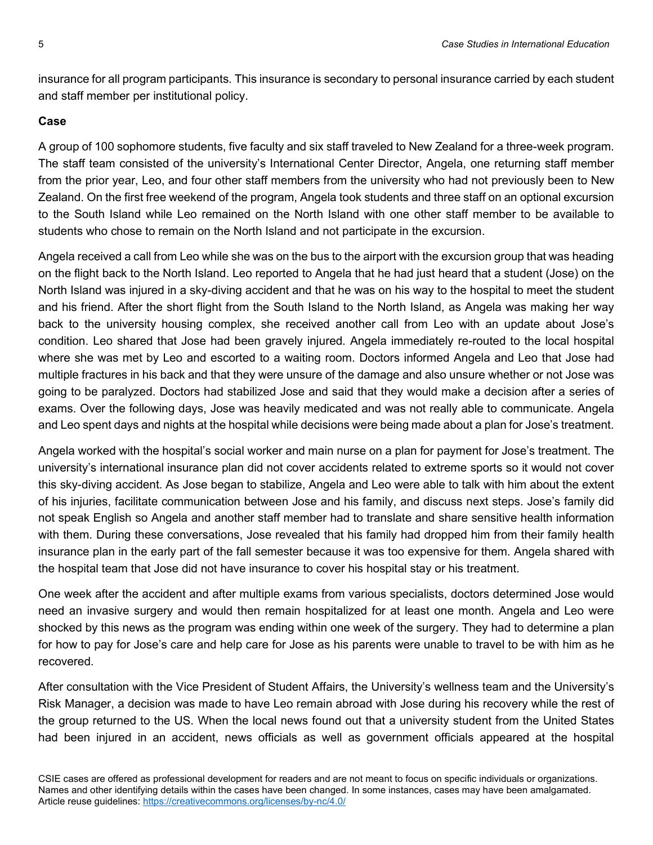insurance for all program participants. This insurance is secondary to personal insurance carried by each student and staff member per institutional policy.

#### **Case**

A group of 100 sophomore students, five faculty and six staff traveled to New Zealand for a three-week program. The staff team consisted of the university's International Center Director, Angela, one returning staff member from the prior year, Leo, and four other staff members from the university who had not previously been to New Zealand. On the first free weekend of the program, Angela took students and three staff on an optional excursion to the South Island while Leo remained on the North Island with one other staff member to be available to students who chose to remain on the North Island and not participate in the excursion.

Angela received a call from Leo while she was on the bus to the airport with the excursion group that was heading on the flight back to the North Island. Leo reported to Angela that he had just heard that a student (Jose) on the North Island was injured in a sky-diving accident and that he was on his way to the hospital to meet the student and his friend. After the short flight from the South Island to the North Island, as Angela was making her way back to the university housing complex, she received another call from Leo with an update about Jose's condition. Leo shared that Jose had been gravely injured. Angela immediately re-routed to the local hospital where she was met by Leo and escorted to a waiting room. Doctors informed Angela and Leo that Jose had multiple fractures in his back and that they were unsure of the damage and also unsure whether or not Jose was going to be paralyzed. Doctors had stabilized Jose and said that they would make a decision after a series of exams. Over the following days, Jose was heavily medicated and was not really able to communicate. Angela and Leo spent days and nights at the hospital while decisions were being made about a plan for Jose's treatment.

Angela worked with the hospital's social worker and main nurse on a plan for payment for Jose's treatment. The university's international insurance plan did not cover accidents related to extreme sports so it would not cover this sky-diving accident. As Jose began to stabilize, Angela and Leo were able to talk with him about the extent of his injuries, facilitate communication between Jose and his family, and discuss next steps. Jose's family did not speak English so Angela and another staff member had to translate and share sensitive health information with them. During these conversations, Jose revealed that his family had dropped him from their family health insurance plan in the early part of the fall semester because it was too expensive for them. Angela shared with the hospital team that Jose did not have insurance to cover his hospital stay or his treatment.

One week after the accident and after multiple exams from various specialists, doctors determined Jose would need an invasive surgery and would then remain hospitalized for at least one month. Angela and Leo were shocked by this news as the program was ending within one week of the surgery. They had to determine a plan for how to pay for Jose's care and help care for Jose as his parents were unable to travel to be with him as he recovered.

After consultation with the Vice President of Student Affairs, the University's wellness team and the University's Risk Manager, a decision was made to have Leo remain abroad with Jose during his recovery while the rest of the group returned to the US. When the local news found out that a university student from the United States had been injured in an accident, news officials as well as government officials appeared at the hospital